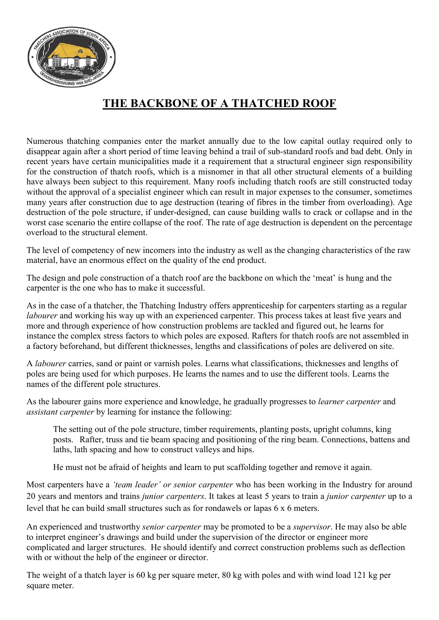

## THE BACKBONE OF A THATCHED ROOF

Numerous thatching companies enter the market annually due to the low capital outlay required only to disappear again after a short period of time leaving behind a trail of sub-standard roofs and bad debt. Only in recent years have certain municipalities made it a requirement that a structural engineer sign responsibility for the construction of thatch roofs, which is a misnomer in that all other structural elements of a building have always been subject to this requirement. Many roofs including thatch roofs are still constructed today without the approval of a specialist engineer which can result in major expenses to the consumer, sometimes many years after construction due to age destruction (tearing of fibres in the timber from overloading). Age destruction of the pole structure, if under-designed, can cause building walls to crack or collapse and in the worst case scenario the entire collapse of the roof. The rate of age destruction is dependent on the percentage overload to the structural element.

The level of competency of new incomers into the industry as well as the changing characteristics of the raw material, have an enormous effect on the quality of the end product.

The design and pole construction of a thatch roof are the backbone on which the 'meat' is hung and the carpenter is the one who has to make it successful.

As in the case of a thatcher, the Thatching Industry offers apprenticeship for carpenters starting as a regular labourer and working his way up with an experienced carpenter. This process takes at least five years and more and through experience of how construction problems are tackled and figured out, he learns for instance the complex stress factors to which poles are exposed. Rafters for thatch roofs are not assembled in a factory beforehand, but different thicknesses, lengths and classifications of poles are delivered on site.

A labourer carries, sand or paint or varnish poles. Learns what classifications, thicknesses and lengths of poles are being used for which purposes. He learns the names and to use the different tools. Learns the names of the different pole structures.

As the labourer gains more experience and knowledge, he gradually progresses to *learner carpenter* and assistant carpenter by learning for instance the following:

 The setting out of the pole structure, timber requirements, planting posts, upright columns, king posts. Rafter, truss and tie beam spacing and positioning of the ring beam. Connections, battens and laths, lath spacing and how to construct valleys and hips.

He must not be afraid of heights and learn to put scaffolding together and remove it again.

Most carpenters have a *'team leader' or senior carpenter* who has been working in the Industry for around 20 years and mentors and trains junior carpenters. It takes at least 5 years to train a junior carpenter up to a level that he can build small structures such as for rondawels or lapas 6 x 6 meters.

An experienced and trustworthy senior carpenter may be promoted to be a supervisor. He may also be able to interpret engineer's drawings and build under the supervision of the director or engineer more complicated and larger structures. He should identify and correct construction problems such as deflection with or without the help of the engineer or director.

The weight of a thatch layer is 60 kg per square meter, 80 kg with poles and with wind load 121 kg per square meter.